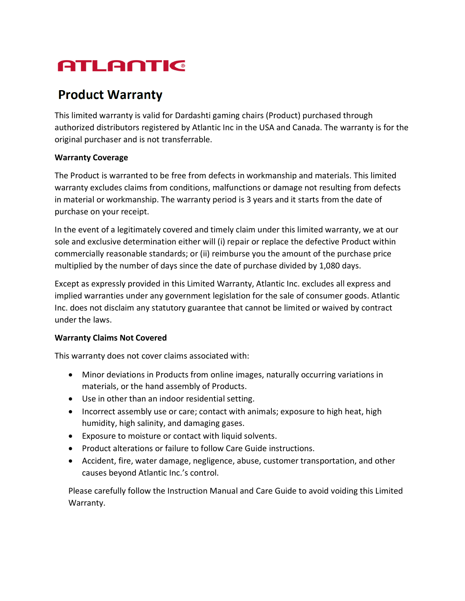# ATLANTIC

## **Product Warranty**

This limited warranty is valid for Dardashti gaming chairs (Product) purchased through authorized distributors registered by Atlantic Inc in the USA and Canada. The warranty is for the original purchaser and is not transferrable.

#### **Warranty Coverage**

The Product is warranted to be free from defects in workmanship and materials. This limited warranty excludes claims from conditions, malfunctions or damage not resulting from defects in material or workmanship. The warranty period is 3 years and it starts from the date of purchase on your receipt.

In the event of a legitimately covered and timely claim under this limited warranty, we at our sole and exclusive determination either will (i) repair or replace the defective Product within commercially reasonable standards; or (ii) reimburse you the amount of the purchase price multiplied by the number of days since the date of purchase divided by 1,080 days.

Except as expressly provided in this Limited Warranty, Atlantic Inc. excludes all express and implied warranties under any government legislation for the sale of consumer goods. Atlantic Inc. does not disclaim any statutory guarantee that cannot be limited or waived by contract under the laws.

### **Warranty Claims Not Covered**

This warranty does not cover claims associated with:

- Minor deviations in Products from online images, naturally occurring variations in materials, or the hand assembly of Products.
- Use in other than an indoor residential setting.
- Incorrect assembly use or care; contact with animals; exposure to high heat, high humidity, high salinity, and damaging gases.
- Exposure to moisture or contact with liquid solvents.
- Product alterations or failure to follow Care Guide instructions.
- Accident, fire, water damage, negligence, abuse, customer transportation, and other causes beyond Atlantic Inc.'s control.

Please carefully follow the Instruction Manual and Care Guide to avoid voiding this Limited Warranty.